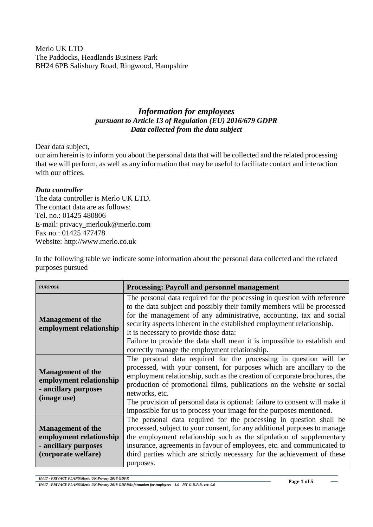Merlo UK LTD The Paddocks, Headlands Business Park BH24 6PB Salisbury Road, Ringwood, Hampshire

## *Information for employees pursuant to Article 13 of Regulation (EU) 2016/679 GDPR Data collected from the data subject*

Dear data subject,

our aim herein is to inform you about the personal data that will be collected and the related processing that we will perform, as well as any information that may be useful to facilitate contact and interaction with our offices.

## *Data controller*

The data controller is Merlo UK LTD. The contact data are as follows: Tel. no.: 01425 480806 E-mail: privacy\_merlouk@merlo.com Fax no.: 01425 477478 Website: http://www.merlo.co.uk

In the following table we indicate some information about the personal data collected and the related purposes pursued

| <b>PURPOSE</b>                                                                                     | <b>Processing: Payroll and personnel management</b>                                                                                                                                                                                                                                                                                                                                                                                                                         |
|----------------------------------------------------------------------------------------------------|-----------------------------------------------------------------------------------------------------------------------------------------------------------------------------------------------------------------------------------------------------------------------------------------------------------------------------------------------------------------------------------------------------------------------------------------------------------------------------|
| <b>Management of the</b><br>employment relationship                                                | The personal data required for the processing in question with reference<br>to the data subject and possibly their family members will be processed<br>for the management of any administrative, accounting, tax and social<br>security aspects inherent in the established employment relationship.<br>It is necessary to provide those data:<br>Failure to provide the data shall mean it is impossible to establish and<br>correctly manage the employment relationship. |
| <b>Management of the</b><br>employment relationship<br>- ancillary purposes<br>(image use)         | The personal data required for the processing in question will be<br>processed, with your consent, for purposes which are ancillary to the<br>employment relationship, such as the creation of corporate brochures, the<br>production of promotional films, publications on the website or social<br>networks, etc.<br>The provision of personal data is optional: failure to consent will make it<br>impossible for us to process your image for the purposes mentioned.   |
| <b>Management of the</b><br>employment relationship<br>- ancillary purposes<br>(corporate welfare) | The personal data required for the processing in question shall be<br>processed, subject to your consent, for any additional purposes to manage<br>the employment relationship such as the stipulation of supplementary<br>insurance, agreements in favour of employees, etc. and communicated to<br>third parties which are strictly necessary for the achievement of these<br>purposes.                                                                                   |

*H:\17 - PRIVACY PLANS\Merlo UK\Privacy 2018 GDPR*

*H:\17 - PRIVACY PLANS\Merlo UK\Privacy 2018 GDPR\Information for employees - 1.0 - PiT G.D.P.R. ver. 0.0*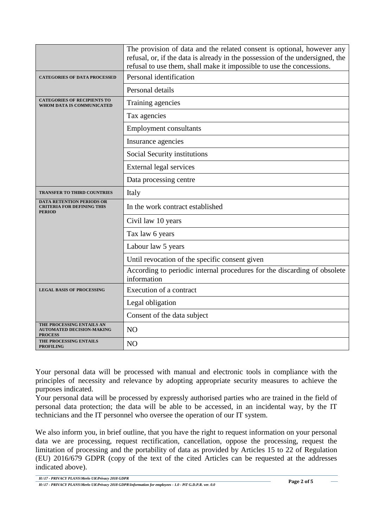|                                                                                        | The provision of data and the related consent is optional, however any<br>refusal, or, if the data is already in the possession of the undersigned, the<br>refusal to use them, shall make it impossible to use the concessions. |
|----------------------------------------------------------------------------------------|----------------------------------------------------------------------------------------------------------------------------------------------------------------------------------------------------------------------------------|
| <b>CATEGORIES OF DATA PROCESSED</b>                                                    | Personal identification                                                                                                                                                                                                          |
|                                                                                        | Personal details                                                                                                                                                                                                                 |
| <b>CATEGORIES OF RECIPIENTS TO</b><br>WHOM DATA IS COMMUNICATED                        | Training agencies                                                                                                                                                                                                                |
|                                                                                        | Tax agencies                                                                                                                                                                                                                     |
|                                                                                        | <b>Employment consultants</b>                                                                                                                                                                                                    |
|                                                                                        | Insurance agencies                                                                                                                                                                                                               |
|                                                                                        | Social Security institutions                                                                                                                                                                                                     |
|                                                                                        | External legal services                                                                                                                                                                                                          |
|                                                                                        | Data processing centre                                                                                                                                                                                                           |
| <b>TRANSFER TO THIRD COUNTRIES</b>                                                     | Italy                                                                                                                                                                                                                            |
| <b>DATA RETENTION PERIODS OR</b><br><b>CRITERIA FOR DEFINING THIS</b><br><b>PERIOD</b> | In the work contract established                                                                                                                                                                                                 |
|                                                                                        | Civil law 10 years                                                                                                                                                                                                               |
|                                                                                        | Tax law 6 years                                                                                                                                                                                                                  |
|                                                                                        | Labour law 5 years                                                                                                                                                                                                               |
|                                                                                        | Until revocation of the specific consent given                                                                                                                                                                                   |
|                                                                                        | According to periodic internal procedures for the discarding of obsolete<br>information                                                                                                                                          |
| <b>LEGAL BASIS OF PROCESSING</b>                                                       | Execution of a contract                                                                                                                                                                                                          |
|                                                                                        | Legal obligation                                                                                                                                                                                                                 |
|                                                                                        | Consent of the data subject                                                                                                                                                                                                      |
| THE PROCESSING ENTAILS AN<br><b>AUTOMATED DECISION-MAKING</b><br><b>PROCESS</b>        | N <sub>O</sub>                                                                                                                                                                                                                   |
| THE PROCESSING ENTAILS<br><b>PROFILING</b>                                             | NO                                                                                                                                                                                                                               |

Your personal data will be processed with manual and electronic tools in compliance with the principles of necessity and relevance by adopting appropriate security measures to achieve the purposes indicated.

Your personal data will be processed by expressly authorised parties who are trained in the field of personal data protection; the data will be able to be accessed, in an incidental way, by the IT technicians and the IT personnel who oversee the operation of our IT system.

We also inform you, in brief outline, that you have the right to request information on your personal data we are processing, request rectification, cancellation, oppose the processing, request the limitation of processing and the portability of data as provided by Articles 15 to 22 of Regulation (EU) 2016/679 GDPR (copy of the text of the cited Articles can be requested at the addresses indicated above).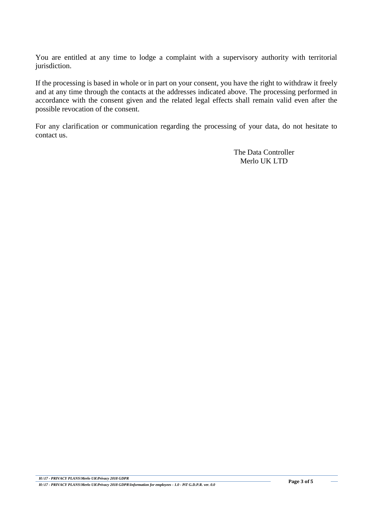You are entitled at any time to lodge a complaint with a supervisory authority with territorial jurisdiction.

If the processing is based in whole or in part on your consent, you have the right to withdraw it freely and at any time through the contacts at the addresses indicated above. The processing performed in accordance with the consent given and the related legal effects shall remain valid even after the possible revocation of the consent.

For any clarification or communication regarding the processing of your data, do not hesitate to contact us.

> The Data Controller Merlo UK LTD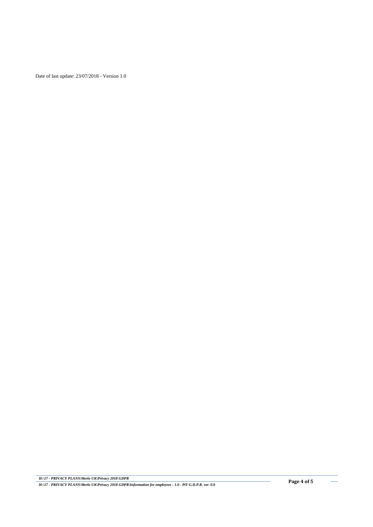Date of last update: 23/07/2018 - Version 1.0

j.